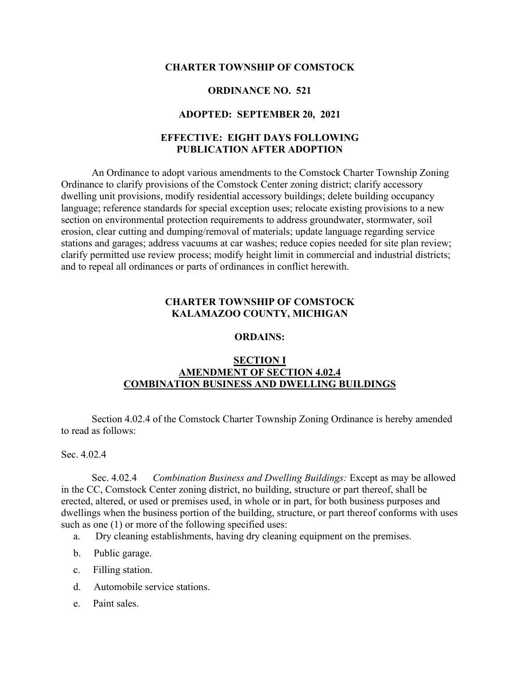#### **CHARTER TOWNSHIP OF COMSTOCK**

#### **ORDINANCE NO. 521**

### **ADOPTED: SEPTEMBER 20, 2021**

## **EFFECTIVE: EIGHT DAYS FOLLOWING PUBLICATION AFTER ADOPTION**

An Ordinance to adopt various amendments to the Comstock Charter Township Zoning Ordinance to clarify provisions of the Comstock Center zoning district; clarify accessory dwelling unit provisions, modify residential accessory buildings; delete building occupancy language; reference standards for special exception uses; relocate existing provisions to a new section on environmental protection requirements to address groundwater, stormwater, soil erosion, clear cutting and dumping/removal of materials; update language regarding service stations and garages; address vacuums at car washes; reduce copies needed for site plan review; clarify permitted use review process; modify height limit in commercial and industrial districts; and to repeal all ordinances or parts of ordinances in conflict herewith.

### **CHARTER TOWNSHIP OF COMSTOCK KALAMAZOO COUNTY, MICHIGAN**

#### **ORDAINS:**

## **SECTION I AMENDMENT OF SECTION 4.02.4 COMBINATION BUSINESS AND DWELLING BUILDINGS**

Section 4.02.4 of the Comstock Charter Township Zoning Ordinance is hereby amended to read as follows:

Sec. 4.02.4

Sec. 4.02.4 *Combination Business and Dwelling Buildings:* Except as may be allowed in the CC, Comstock Center zoning district, no building, structure or part thereof, shall be erected, altered, or used or premises used, in whole or in part, for both business purposes and dwellings when the business portion of the building, structure, or part thereof conforms with uses such as one (1) or more of the following specified uses:

- a. Dry cleaning establishments, having dry cleaning equipment on the premises.
- b. Public garage.
- c. Filling station.
- d. Automobile service stations.
- e. Paint sales.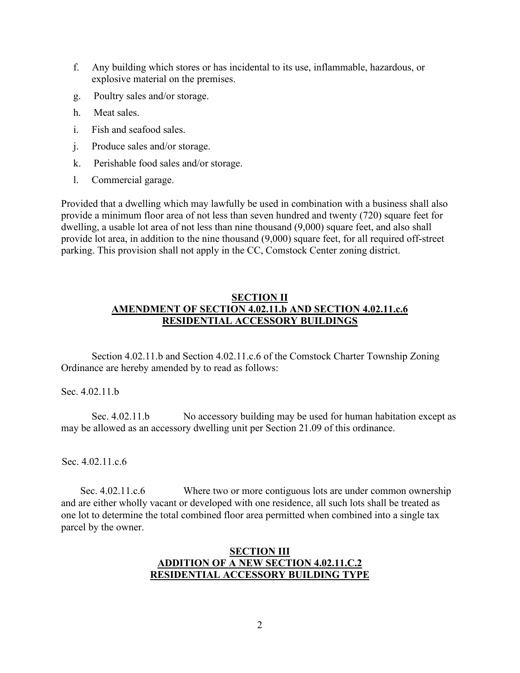- f. Any building which stores or has incidental to its use, inflammable, hazardous, or explosive material on the premises.
- g. Poultry sales and/or storage.
- h. Meat sales.
- i. Fish and seafood sales.
- j. Produce sales and/or storage.
- k. Perishable food sales and/or storage.
- l. Commercial garage.

Provided that a dwelling which may lawfully be used in combination with a business shall also provide a minimum floor area of not less than seven hundred and twenty (720) square feet for dwelling, a usable lot area of not less than nine thousand (9,000) square feet, and also shall provide lot area, in addition to the nine thousand (9,000) square feet, for all required off-street parking. This provision shall not apply in the CC, Comstock Center zoning district.

# **SECTION II AMENDMENT OF SECTION 4.02.11.b AND SECTION 4.02.11.c.6 RESIDENTIAL ACCESSORY BUILDINGS**

Section 4.02.11.b and Section 4.02.11.c.6 of the Comstock Charter Township Zoning Ordinance are hereby amended by to read as follows:

Sec. 4.02.11.b

Sec. 4.02.11.b No accessory building may be used for human habitation except as may be allowed as an accessory dwelling unit per Section 21.09 of this ordinance.

Sec. 4.02.11.c.6

Sec. 4.02.11.c.6 Where two or more contiguous lots are under common ownership and are either wholly vacant or developed with one residence, all such lots shall be treated as one lot to determine the total combined floor area permitted when combined into a single tax parcel by the owner.

## **SECTION III ADDITION OF A NEW SECTION 4.02.11.C.2 RESIDENTIAL ACCESSORY BUILDING TYPE**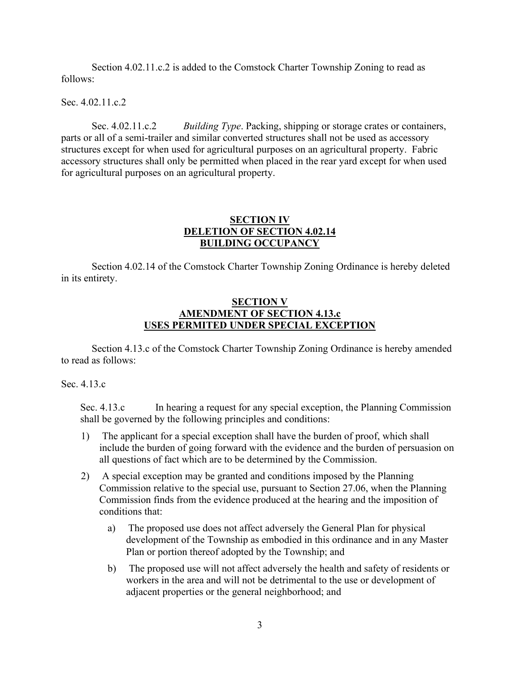Section 4.02.11.c.2 is added to the Comstock Charter Township Zoning to read as follows:

Sec. 4.02.11.c.2

Sec. 4.02.11.c.2 *Building Type*. Packing, shipping or storage crates or containers, parts or all of a semi-trailer and similar converted structures shall not be used as accessory structures except for when used for agricultural purposes on an agricultural property. Fabric accessory structures shall only be permitted when placed in the rear yard except for when used for agricultural purposes on an agricultural property.

## **SECTION IV DELETION OF SECTION 4.02.14 BUILDING OCCUPANCY**

Section 4.02.14 of the Comstock Charter Township Zoning Ordinance is hereby deleted in its entirety.

## **SECTION V AMENDMENT OF SECTION 4.13.c USES PERMITED UNDER SPECIAL EXCEPTION**

Section 4.13.c of the Comstock Charter Township Zoning Ordinance is hereby amended to read as follows:

## Sec. 4.13.c

Sec. 4.13.c In hearing a request for any special exception, the Planning Commission shall be governed by the following principles and conditions:

- 1) The applicant for a special exception shall have the burden of proof, which shall include the burden of going forward with the evidence and the burden of persuasion on all questions of fact which are to be determined by the Commission.
- 2) A special exception may be granted and conditions imposed by the Planning Commission relative to the special use, pursuant to Section 27.06, when the Planning Commission finds from the evidence produced at the hearing and the imposition of conditions that:
	- a) The proposed use does not affect adversely the General Plan for physical development of the Township as embodied in this ordinance and in any Master Plan or portion thereof adopted by the Township; and
	- b) The proposed use will not affect adversely the health and safety of residents or workers in the area and will not be detrimental to the use or development of adjacent properties or the general neighborhood; and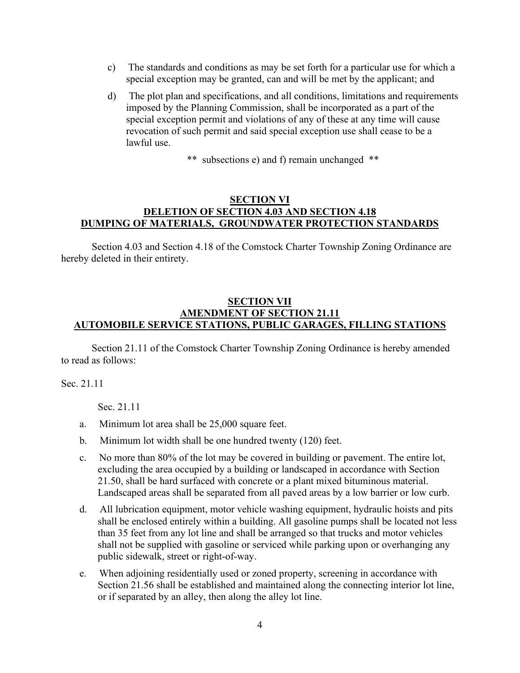- c) The standards and conditions as may be set forth for a particular use for which a special exception may be granted, can and will be met by the applicant; and
- d) The plot plan and specifications, and all conditions, limitations and requirements imposed by the Planning Commission, shall be incorporated as a part of the special exception permit and violations of any of these at any time will cause revocation of such permit and said special exception use shall cease to be a lawful use.

\*\* subsections e) and f) remain unchanged \*\*

## **SECTION VI DELETION OF SECTION 4.03 AND SECTION 4.18 DUMPING OF MATERIALS, GROUNDWATER PROTECTION STANDARDS**

Section 4.03 and Section 4.18 of the Comstock Charter Township Zoning Ordinance are hereby deleted in their entirety.

## **SECTION VII AMENDMENT OF SECTION 21.11 AUTOMOBILE SERVICE STATIONS, PUBLIC GARAGES, FILLING STATIONS**

Section 21.11 of the Comstock Charter Township Zoning Ordinance is hereby amended to read as follows:

Sec. 21.11

Sec. 21.11

- a. Minimum lot area shall be 25,000 square feet.
- b. Minimum lot width shall be one hundred twenty (120) feet.
- c. No more than 80% of the lot may be covered in building or pavement. The entire lot, excluding the area occupied by a building or landscaped in accordance with Section 21.50, shall be hard surfaced with concrete or a plant mixed bituminous material. Landscaped areas shall be separated from all paved areas by a low barrier or low curb.
- d. All lubrication equipment, motor vehicle washing equipment, hydraulic hoists and pits shall be enclosed entirely within a building. All gasoline pumps shall be located not less than 35 feet from any lot line and shall be arranged so that trucks and motor vehicles shall not be supplied with gasoline or serviced while parking upon or overhanging any public sidewalk, street or right-of-way.
- e. When adjoining residentially used or zoned property, screening in accordance with Section 21.56 shall be established and maintained along the connecting interior lot line, or if separated by an alley, then along the alley lot line.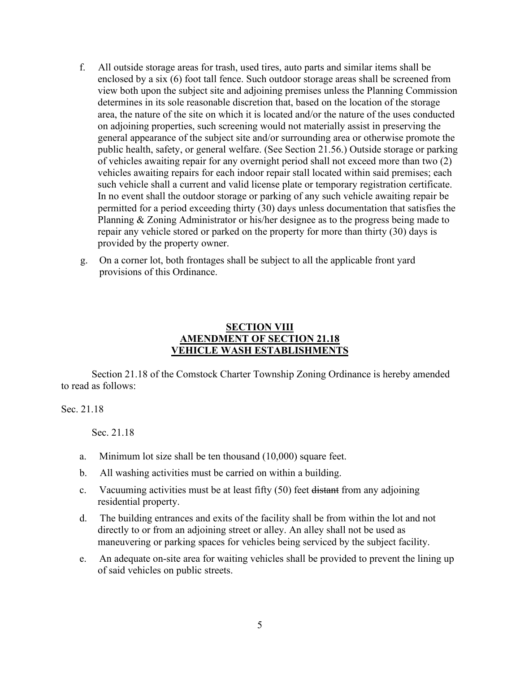- f. All outside storage areas for trash, used tires, auto parts and similar items shall be enclosed by a six (6) foot tall fence. Such outdoor storage areas shall be screened from view both upon the subject site and adjoining premises unless the Planning Commission determines in its sole reasonable discretion that, based on the location of the storage area, the nature of the site on which it is located and/or the nature of the uses conducted on adjoining properties, such screening would not materially assist in preserving the general appearance of the subject site and/or surrounding area or otherwise promote the public health, safety, or general welfare. (See Section 21.56.) Outside storage or parking of vehicles awaiting repair for any overnight period shall not exceed more than two (2) vehicles awaiting repairs for each indoor repair stall located within said premises; each such vehicle shall a current and valid license plate or temporary registration certificate. In no event shall the outdoor storage or parking of any such vehicle awaiting repair be permitted for a period exceeding thirty (30) days unless documentation that satisfies the Planning & Zoning Administrator or his/her designee as to the progress being made to repair any vehicle stored or parked on the property for more than thirty (30) days is provided by the property owner.
- g. On a corner lot, both frontages shall be subject to all the applicable front yard provisions of this Ordinance.

## **SECTION VIII AMENDMENT OF SECTION 21.18 VEHICLE WASH ESTABLISHMENTS**

Section 21.18 of the Comstock Charter Township Zoning Ordinance is hereby amended to read as follows:

Sec. 21.18

Sec. 21.18

- a. Minimum lot size shall be ten thousand (10,000) square feet.
- b. All washing activities must be carried on within a building.
- c. Vacuuming activities must be at least fifty (50) feet distant from any adjoining residential property.
- d. The building entrances and exits of the facility shall be from within the lot and not directly to or from an adjoining street or alley. An alley shall not be used as maneuvering or parking spaces for vehicles being serviced by the subject facility.
- e. An adequate on-site area for waiting vehicles shall be provided to prevent the lining up of said vehicles on public streets.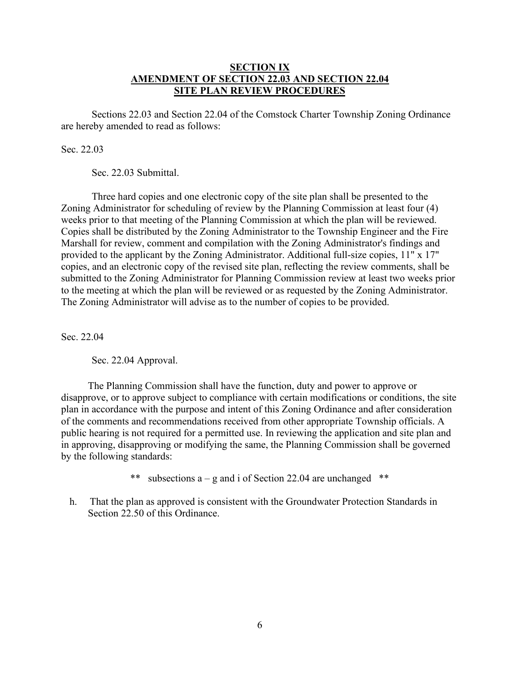### **SECTION IX AMENDMENT OF SECTION 22.03 AND SECTION 22.04 SITE PLAN REVIEW PROCEDURES**

Sections 22.03 and Section 22.04 of the Comstock Charter Township Zoning Ordinance are hereby amended to read as follows:

### Sec. 22.03

Sec. 22.03 Submittal.

Three hard copies and one electronic copy of the site plan shall be presented to the Zoning Administrator for scheduling of review by the Planning Commission at least four (4) weeks prior to that meeting of the Planning Commission at which the plan will be reviewed. Copies shall be distributed by the Zoning Administrator to the Township Engineer and the Fire Marshall for review, comment and compilation with the Zoning Administrator's findings and provided to the applicant by the Zoning Administrator. Additional full-size copies, 11" x 17" copies, and an electronic copy of the revised site plan, reflecting the review comments, shall be submitted to the Zoning Administrator for Planning Commission review at least two weeks prior to the meeting at which the plan will be reviewed or as requested by the Zoning Administrator. The Zoning Administrator will advise as to the number of copies to be provided.

Sec. 22.04

Sec. 22.04 Approval.

The Planning Commission shall have the function, duty and power to approve or disapprove, or to approve subject to compliance with certain modifications or conditions, the site plan in accordance with the purpose and intent of this Zoning Ordinance and after consideration of the comments and recommendations received from other appropriate Township officials. A public hearing is not required for a permitted use. In reviewing the application and site plan and in approving, disapproving or modifying the same, the Planning Commission shall be governed by the following standards:

\*\* subsections  $a - g$  and i of Section 22.04 are unchanged \*\*

h. That the plan as approved is consistent with the Groundwater Protection Standards in Section 22.50 of this Ordinance.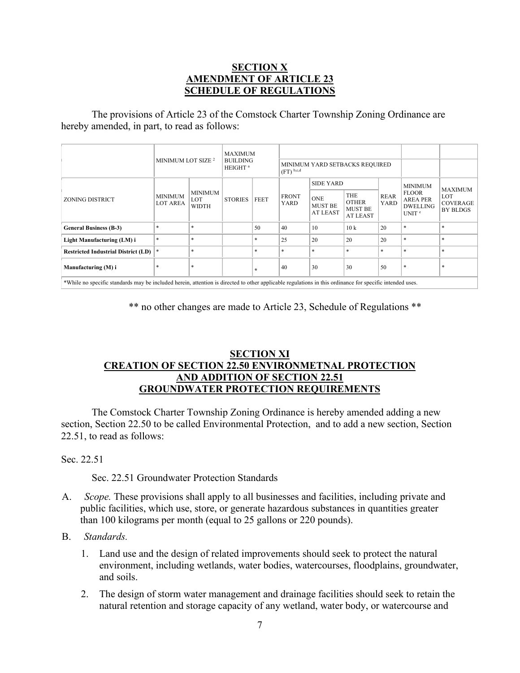## **SECTION X AMENDMENT OF ARTICLE 23 SCHEDULE OF REGULATIONS**

The provisions of Article 23 of the Comstock Charter Township Zoning Ordinance are hereby amended, in part, to read as follows:

|                                                                                                                 | MINIMUM LOT SIZE <sup>2</sup>     |                                       | <b>MAXIMUM</b><br><b>BUILDING</b><br>HEIGHT <sup>a</sup> |             |                                                           |                                                 |                                                          |                            |                                                                |                                           |
|-----------------------------------------------------------------------------------------------------------------|-----------------------------------|---------------------------------------|----------------------------------------------------------|-------------|-----------------------------------------------------------|-------------------------------------------------|----------------------------------------------------------|----------------------------|----------------------------------------------------------------|-------------------------------------------|
|                                                                                                                 |                                   |                                       |                                                          |             | MINIMUM YARD SETBACKS REQUIRED<br>$(FT)$ <sup>b,c,d</sup> |                                                 |                                                          |                            |                                                                |                                           |
| <b>ZONING DISTRICT</b>                                                                                          | <b>MINIMUM</b><br><b>LOT AREA</b> | <b>MINIMUM</b><br>LOT<br><b>WIDTH</b> | <b>STORIES</b>                                           | <b>FEET</b> | <b>FRONT</b><br>YARD                                      | <b>SIDE YARD</b>                                |                                                          |                            | <b>MINIMUM</b>                                                 | <b>MAXIMUM</b>                            |
|                                                                                                                 |                                   |                                       |                                                          |             |                                                           | <b>ONE</b><br><b>MUST BE</b><br><b>AT LEAST</b> | <b>THE</b><br><b>OTHER</b><br><b>MUST BE</b><br>AT LEAST | <b>REAR</b><br><b>YARD</b> | <b>FLOOR</b><br><b>AREA PER</b><br><b>DWELLING</b><br>UNIT $e$ | LOT<br><b>COVERAGE</b><br><b>BY BLDGS</b> |
| <b>General Business (B-3)</b>                                                                                   | $*$                               | $\ast$                                |                                                          | 50          | 40                                                        | 10                                              | 10k                                                      | 20                         | $\ast$                                                         | $\ast$                                    |
| Light Manufacturing (LM) i                                                                                      | $*$                               | $\ast$                                |                                                          | $\star$     | 25                                                        | 20                                              | 20                                                       | 20                         | $\ast$                                                         | $\ast$                                    |
| <b>Restricted Industrial District (LD)</b>                                                                      | $\ast$                            | $\ast$                                |                                                          | $\ast$      | $*$                                                       | $\ast$                                          | $\ast$                                                   | $\ast$                     | $\ast$                                                         | $\ast$                                    |
| Manufacturing (M) i                                                                                             | $*$                               | $*$                                   |                                                          | $\star$     | 40                                                        | 30                                              | 30                                                       | 50                         | $\ast$                                                         | $\ast$                                    |
| women for a first total to a state and the state of the state of the state of the state of the state of the sta |                                   |                                       |                                                          |             |                                                           |                                                 |                                                          |                            |                                                                |                                           |

\*While no specific standards may be included herein, attention is directed to other applicable regulations in this ordinance for specific intended uses.

\*\* no other changes are made to Article 23, Schedule of Regulations \*\*

## **SECTION XI CREATION OF SECTION 22.50 ENVIRONMETNAL PROTECTION AND ADDITION OF SECTION 22.51 GROUNDWATER PROTECTION REQUIREMENTS**

The Comstock Charter Township Zoning Ordinance is hereby amended adding a new section, Section 22.50 to be called Environmental Protection, and to add a new section, Section 22.51, to read as follows:

Sec. 22.51

Sec. 22.51 Groundwater Protection Standards

- A. *Scope.* These provisions shall apply to all businesses and facilities, including private and public facilities, which use, store, or generate hazardous substances in quantities greater than 100 kilograms per month (equal to 25 gallons or 220 pounds).
- B. *Standards.*
	- 1. Land use and the design of related improvements should seek to protect the natural environment, including wetlands, water bodies, watercourses, floodplains, groundwater, and soils.
	- 2. The design of storm water management and drainage facilities should seek to retain the natural retention and storage capacity of any wetland, water body, or watercourse and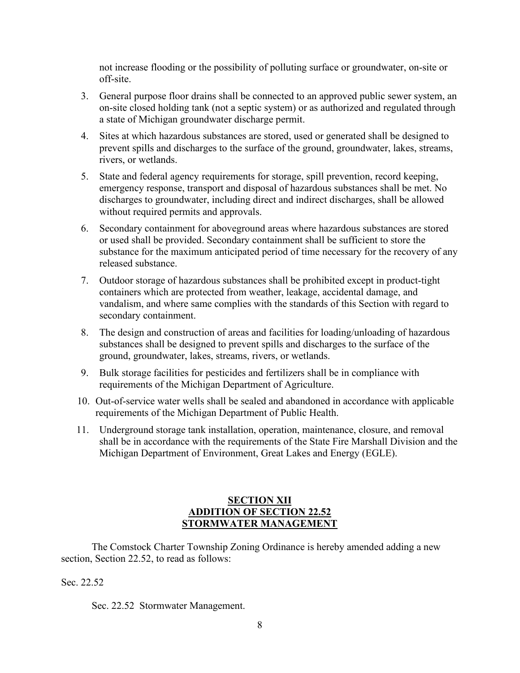not increase flooding or the possibility of polluting surface or groundwater, on-site or off-site.

- 3. General purpose floor drains shall be connected to an approved public sewer system, an on-site closed holding tank (not a septic system) or as authorized and regulated through a state of Michigan groundwater discharge permit.
- 4. Sites at which hazardous substances are stored, used or generated shall be designed to prevent spills and discharges to the surface of the ground, groundwater, lakes, streams, rivers, or wetlands.
- 5. State and federal agency requirements for storage, spill prevention, record keeping, emergency response, transport and disposal of hazardous substances shall be met. No discharges to groundwater, including direct and indirect discharges, shall be allowed without required permits and approvals.
- 6. Secondary containment for aboveground areas where hazardous substances are stored or used shall be provided. Secondary containment shall be sufficient to store the substance for the maximum anticipated period of time necessary for the recovery of any released substance.
- 7. Outdoor storage of hazardous substances shall be prohibited except in product-tight containers which are protected from weather, leakage, accidental damage, and vandalism, and where same complies with the standards of this Section with regard to secondary containment.
- 8. The design and construction of areas and facilities for loading/unloading of hazardous substances shall be designed to prevent spills and discharges to the surface of the ground, groundwater, lakes, streams, rivers, or wetlands.
- 9. Bulk storage facilities for pesticides and fertilizers shall be in compliance with requirements of the Michigan Department of Agriculture.
- 10. Out-of-service water wells shall be sealed and abandoned in accordance with applicable requirements of the Michigan Department of Public Health.
- 11. Underground storage tank installation, operation, maintenance, closure, and removal shall be in accordance with the requirements of the State Fire Marshall Division and the Michigan Department of Environment, Great Lakes and Energy (EGLE).

## **SECTION XII ADDITION OF SECTION 22.52 STORMWATER MANAGEMENT**

The Comstock Charter Township Zoning Ordinance is hereby amended adding a new section, Section 22.52, to read as follows:

# Sec. 22.52

Sec. 22.52 Stormwater Management.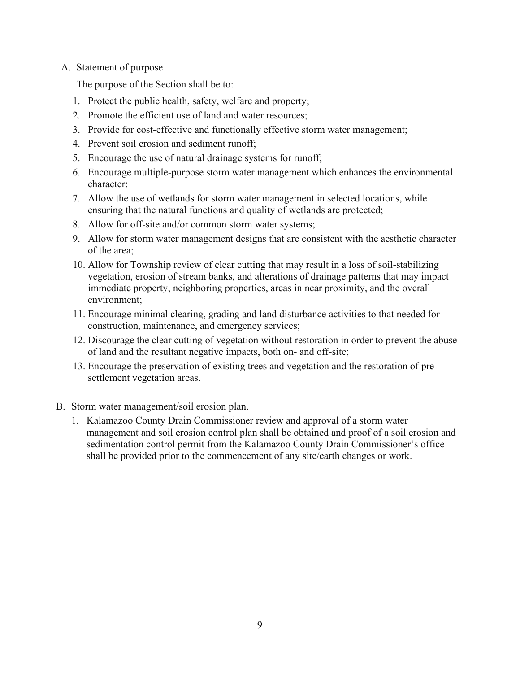## A. Statement of purpose

The purpose of the Section shall be to:

- 1. Protect the public health, safety, welfare and property;
- 2. Promote the efficient use of land and water resources;
- 3. Provide for cost-effective and functionally effective storm water management;
- 4. Prevent soil erosion and [sediment](http://online.encodeplus.com/regs/oshtemo-mi/doc-view.aspx?pn=0&ajax=0&secid=1921) runoff;
- 5. Encourage the use of natural drainage systems for runoff;
- 6. Encourage multiple-purpose storm water management which enhances the environmental character;
- 7. Allow the use of [wetlands](http://online.encodeplus.com/regs/oshtemo-mi/doc-view.aspx?pn=0&ajax=0&secid=1930) for storm water management in selected locations, while ensuring that the natural functions and quality of wetlands are protected;
- 8. Allow for off-site and/or common storm water systems;
- 9. Allow for storm water management designs that are consistent with the aesthetic character of the area;
- 10. Allow for Township review of [clear cutting](http://online.encodeplus.com/regs/oshtemo-mi/doc-view.aspx?pn=0&ajax=0&secid=1866) that may result in a loss of soil-stabilizing vegetation, erosion of stream banks, and alterations of drainage patterns that may impact immediate property, neighboring properties, areas in near proximity, and the overall environment;
- 11. Encourage minimal clearing, grading and land disturbance activities to that needed for construction, maintenance, and emergency services;
- 12. Discourage the clear cutting of vegetation without restoration in order to prevent the abuse of land and the resultant negative impacts, both on- and off-site;
- 13. Encourage the preservation of existing trees and vegetation and the restoration of [pre](http://online.encodeplus.com/regs/oshtemo-mi/doc-view.aspx?pn=0&ajax=0&secid=1914)[settlement vegetation](http://online.encodeplus.com/regs/oshtemo-mi/doc-view.aspx?pn=0&ajax=0&secid=1914) areas.
- B. Storm water management/soil erosion plan.
	- 1. Kalamazoo County Drain Commissioner review and approval of a storm water management and soil erosion control plan shall be obtained and proof of a soil erosion and sedimentation control permit from the Kalamazoo County Drain Commissioner's office shall be provided prior to the commencement of any site/earth changes or work.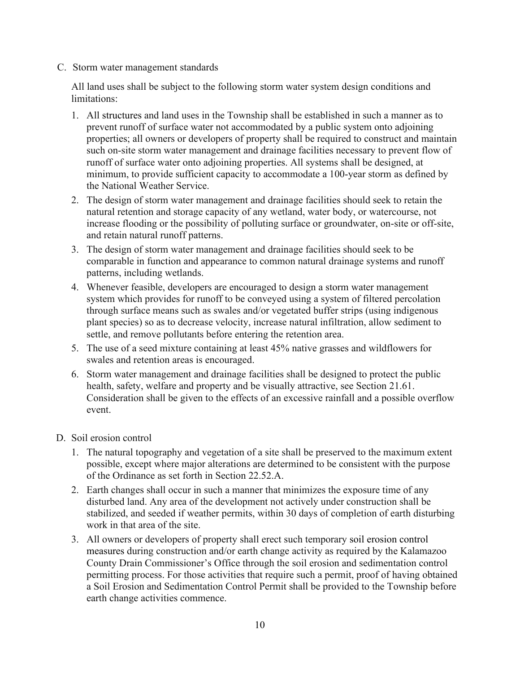C. Storm water management standards

All land uses shall be subject to the following storm water system design conditions and limitations:

- 1. All [structures](http://online.encodeplus.com/regs/oshtemo-mi/doc-view.aspx?pn=0&ajax=0&secid=1928) and land uses in the Township shall be established in such a manner as to prevent runoff of surface water not accommodated by a public system onto adjoining properties; all owners or developers of property shall be required to construct and maintain such on-site storm water management and drainage facilities necessary to prevent flow of runoff of surface water onto adjoining properties. All systems shall be designed, at minimum, to provide sufficient capacity to accommodate a 100-year storm as defined by the National Weather Service.
- 2. The design of storm water management and drainage facilities should seek to retain the natural retention and storage capacity of any wetland, water body, or watercourse, not increase flooding or the possibility of polluting surface or groundwater, on-site or off-site, and retain natural runoff patterns.
- 3. The design of storm water management and drainage facilities should seek to be comparable in function and appearance to common natural drainage systems and runoff patterns, including wetlands.
- 4. Whenever feasible, developers are encouraged to design a storm water management system which provides for runoff to be conveyed using a system of filtered percolation through surface means such as swales and/or vegetated buffer strips (using indigenous plant species) so as to decrease velocity, increase natural infiltration, allow sediment to settle, and remove pollutants before entering the retention area.
- 5. The use of a seed mixture containing at least 45% native grasses and wildflowers for swales and retention areas is encouraged.
- 6. Storm water management and drainage facilities shall be designed to protect the public health, safety, welfare and property and be visually attractive, see Section 21.61. Consideration shall be given to the effects of an excessive rainfall and a possible overflow event.
- D. Soil erosion control
	- 1. The natural topography and vegetation of a site shall be preserved to the maximum extent possible, except where major alterations are determined to be consistent with the purpose of the Ordinance as set forth in Section 22.52.A.
	- 2. Earth changes shall occur in such a manner that minimizes the exposure time of any disturbed land. Any area of the development not actively under construction shall be stabilized, and seeded if weather permits, within 30 days of completion of earth disturbing work in that area of the site.
	- 3. All owners or developers of property shall erect such temporary [soil erosion control](http://online.encodeplus.com/regs/oshtemo-mi/doc-view.aspx?pn=0&ajax=0&secid=1926)  [measures](http://online.encodeplus.com/regs/oshtemo-mi/doc-view.aspx?pn=0&ajax=0&secid=1926) during construction and/or earth change activity as required by the Kalamazoo County Drain Commissioner's Office through the soil erosion and sedimentation control permitting process. For those activities that require such a permit, proof of having obtained a Soil Erosion and Sedimentation Control Permit shall be provided to the Township before earth change activities commence.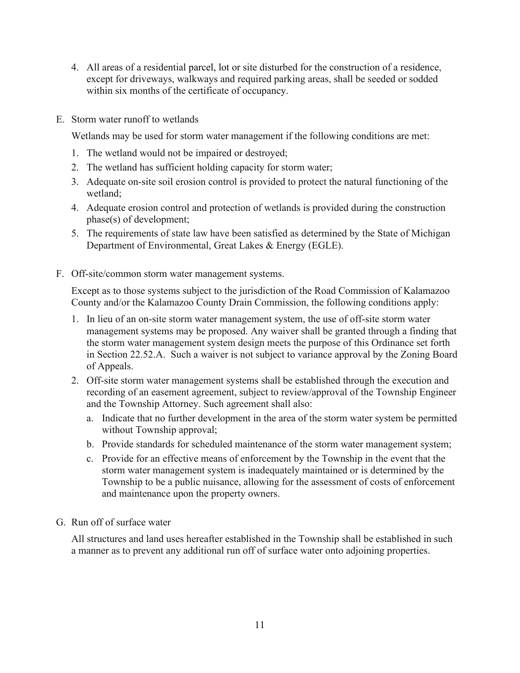- 4. All areas of a residential [parcel, lot](http://online.encodeplus.com/regs/oshtemo-mi/doc-view.aspx?pn=0&ajax=0&secid=1900) or site disturbed for the construction of a residence, except for driveways, walkways and required parking areas, shall be seeded or sodded within six months of the certificate of occupancy.
- E. Storm water runoff to wetlands

Wetlands may be used for storm water management if the following conditions are met:

- 1. The wetland would not be impaired or destroyed;
- 2. The wetland has sufficient holding capacity for storm water;
- 3. Adequate on-site soil erosion control is provided to protect the natural functioning of the wetland;
- 4. Adequate erosion control and protection of wetlands is provided during the construction phase(s) of development;
- 5. The requirements of state law have been satisfied as determined by the State of Michigan Department of Environmental, Great Lakes & Energy (EGLE).
- F. Off-site/common storm water management systems.

Except as to those systems subject to the jurisdiction of the Road Commission of Kalamazoo County and/or the Kalamazoo County Drain Commission, the following conditions apply:

- 1. In lieu of an on-site storm water management system, the use of off-site storm water management systems may be proposed. Any waiver shall be granted through a finding that the storm water management system design meets the purpose of this Ordinance set forth in Section 22.52.A. Such a waiver is not subject to variance approval by the Zoning Board of Appeals.
- 2. Off-site storm water management systems shall be established through the execution and recording of an easement agreement, subject to review/approval of the Township Engineer and the Township Attorney. Such agreement shall also:
	- a. Indicate that no further development in the area of the storm water system be permitted without Township approval;
	- b. Provide standards for scheduled maintenance of the storm water management system;
	- c. Provide for an effective means of enforcement by the Township in the event that the storm water management system is inadequately maintained or is determined by the Township to be a public nuisance, allowing for the assessment of costs of enforcement and maintenance upon the property owners.
- G. Run off of surface water

All structures and land uses hereafter established in the Township shall be established in such a manner as to prevent any additional run off of surface water onto adjoining properties.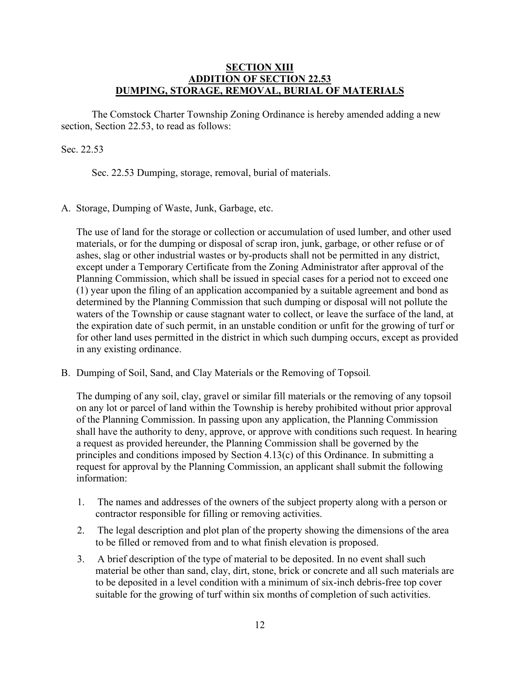### **SECTION XIII ADDITION OF SECTION 22.53 DUMPING, STORAGE, REMOVAL, BURIAL OF MATERIALS**

The Comstock Charter Township Zoning Ordinance is hereby amended adding a new section, Section 22.53, to read as follows:

### Sec. 22.53

Sec. 22.53 Dumping, storage, removal, burial of materials.

A. Storage, Dumping of Waste, Junk, Garbage, etc.

The use of land for the storage or collection or accumulation of used lumber, and other used materials, or for the dumping or disposal of scrap iron, junk, garbage, or other refuse or of ashes, slag or other industrial wastes or by-products shall not be permitted in any district, except under a Temporary Certificate from the Zoning Administrator after approval of the Planning Commission, which shall be issued in special cases for a period not to exceed one (1) year upon the filing of an application accompanied by a suitable agreement and bond as determined by the Planning Commission that such dumping or disposal will not pollute the waters of the Township or cause stagnant water to collect, or leave the surface of the land, at the expiration date of such permit, in an unstable condition or unfit for the growing of turf or for other land uses permitted in the district in which such dumping occurs, except as provided in any existing ordinance.

B. Dumping of Soil, Sand, and Clay Materials or the Removing of Topsoil*.*

The dumping of any soil, clay, gravel or similar fill materials or the removing of any topsoil on any lot or parcel of land within the Township is hereby prohibited without prior approval of the Planning Commission. In passing upon any application, the Planning Commission shall have the authority to deny, approve, or approve with conditions such request. In hearing a request as provided hereunder, the Planning Commission shall be governed by the principles and conditions imposed by Section 4.13(c) of this Ordinance. In submitting a request for approval by the Planning Commission, an applicant shall submit the following information:

- 1. The names and addresses of the owners of the subject property along with a person or contractor responsible for filling or removing activities.
- 2. The legal description and plot plan of the property showing the dimensions of the area to be filled or removed from and to what finish elevation is proposed.
- 3. A brief description of the type of material to be deposited. In no event shall such material be other than sand, clay, dirt, stone, brick or concrete and all such materials are to be deposited in a level condition with a minimum of six-inch debris-free top cover suitable for the growing of turf within six months of completion of such activities.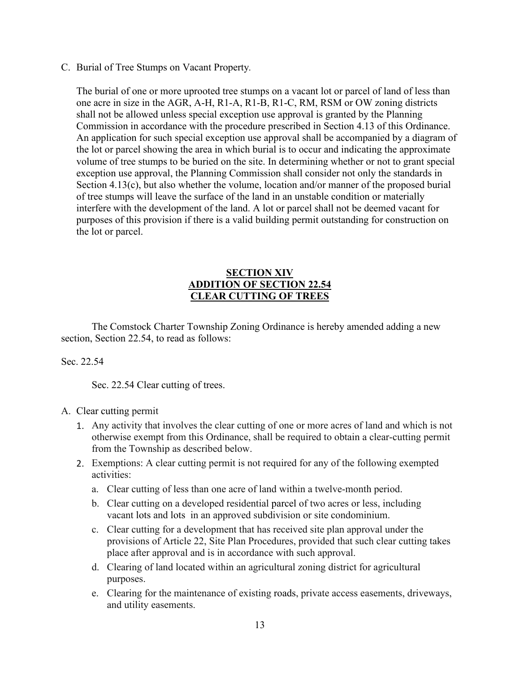C. Burial of Tree Stumps on Vacant Property*.*

The burial of one or more uprooted tree stumps on a vacant lot or parcel of land of less than one acre in size in the AGR, A-H, R1-A, R1-B, R1-C, RM, RSM or OW zoning districts shall not be allowed unless special exception use approval is granted by the Planning Commission in accordance with the procedure prescribed in Section 4.13 of this Ordinance. An application for such special exception use approval shall be accompanied by a diagram of the lot or parcel showing the area in which burial is to occur and indicating the approximate volume of tree stumps to be buried on the site. In determining whether or not to grant special exception use approval, the Planning Commission shall consider not only the standards in Section 4.13(c), but also whether the volume, location and/or manner of the proposed burial of tree stumps will leave the surface of the land in an unstable condition or materially interfere with the development of the land. A lot or parcel shall not be deemed vacant for purposes of this provision if there is a valid building permit outstanding for construction on the lot or parcel.

## **SECTION XIV ADDITION OF SECTION 22.54 CLEAR CUTTING OF TREES**

The Comstock Charter Township Zoning Ordinance is hereby amended adding a new section, Section 22.54, to read as follows:

## Sec. 22.54

Sec. 22.54 Clear cutting of trees.

## A. [Clear cutting](http://online.encodeplus.com/regs/oshtemo-mi/doc-view.aspx?pn=0&ajax=0&secid=1866) permit

- 1. Any activity that involves the clear cutting of one or more acres of land and which is not otherwise exempt from this Ordinance, shall be required to obtain a clear-cutting permit from the Township as described below.
- 2. Exemptions: A clear cutting permit is not required for any of the following exempted activities:
	- a. Clear cutting of less than one acre of land within a twelve-month period.
	- b. Clear cutting on a developed residential [parcel](http://online.encodeplus.com/regs/oshtemo-mi/doc-view.aspx?pn=0&ajax=0&secid=1913) of two acres or less, including vacant [lots](http://online.encodeplus.com/regs/oshtemo-mi/doc-view.aspx?pn=0&ajax=0&secid=1896) and lots in an approved subdivision or site condominium.
	- c. Clear cutting for a development that has received site plan approval under the provisions of Article 22, Site Plan Procedures, provided that such clear cutting takes place after approval and is in accordance with such approval.
	- d. Clearing of land located within an agricultural zoning district for agricultural purposes.
	- e. Clearing for the maintenance of existing [roads,](http://online.encodeplus.com/regs/oshtemo-mi/doc-view.aspx?pn=0&ajax=0&secid=1927) private access easements, driveways, and utility easements.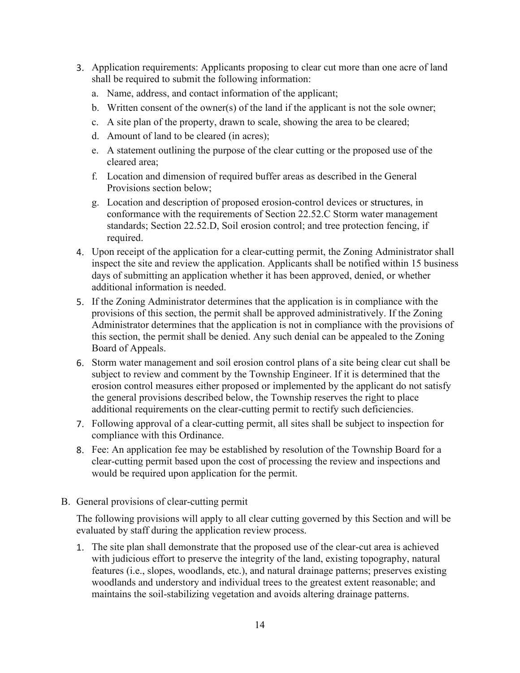- 3. Application requirements: Applicants proposing to clear cut more than one acre of land shall be required to submit the following information:
	- a. Name, address, and contact information of the applicant;
	- b. Written consent of the owner(s) of the land if the applicant is not the sole owner;
	- c. A site plan of the property, drawn to scale, showing the area to be cleared;
	- d. Amount of land to be cleared (in acres);
	- e. A statement outlining the purpose of the clear cutting or the proposed use of the cleared area;
	- f. Location and dimension of required buffer areas as described in the General Provisions section below;
	- g. Location and description of proposed erosion-control devices or [structures,](http://online.encodeplus.com/regs/oshtemo-mi/doc-view.aspx?pn=0&ajax=0&secid=1928) in conformance with the requirements of Section 22.52.C Storm water management standards; Section 22.52.D, Soil erosion control; and tree protection fencing, if required.
- 4. Upon receipt of the application for a clear-cutting permit, the Zoning Administrator shall inspect the site and review the application. Applicants shall be notified within 15 business days of submitting an application whether it has been approved, denied, or whether additional information is needed.
- 5. If the Zoning Administrator determines that the application is in compliance with the provisions of this section, the permit shall be approved administratively. If the Zoning Administrator determines that the application is not in compliance with the provisions of this section, the permit shall be denied. Any such denial can be appealed to the Zoning Board of Appeals.
- 6. Storm water management and soil erosion control plans of a site being clear cut shall be subject to review and comment by the Township Engineer. If it is determined that the erosion control measures either proposed or implemented by the applicant do not satisfy the general provisions described below, the Township reserves the right to place additional requirements on the clear-cutting permit to rectify such deficiencies.
- 7. Following approval of a clear-cutting permit, all sites shall be subject to inspection for compliance with this Ordinance.
- 8. Fee: An application fee may be established by resolution of the Township Board for a clear-cutting permit based upon the cost of processing the review and inspections and would be required upon application for the permit.
- B. General provisions of clear-cutting permit

The following provisions will apply to all clear cutting governed by this Section and will be evaluated by staff during the application review process.

1. The site plan shall demonstrate that the proposed use of the clear-cut area is achieved with judicious effort to preserve the integrity of the land, existing topography, natural features (i.e., slopes, woodlands, etc.), and natural drainage patterns; preserves existing woodlands and understory and individual trees to the greatest extent reasonable; and maintains the soil-stabilizing vegetation and avoids altering drainage patterns.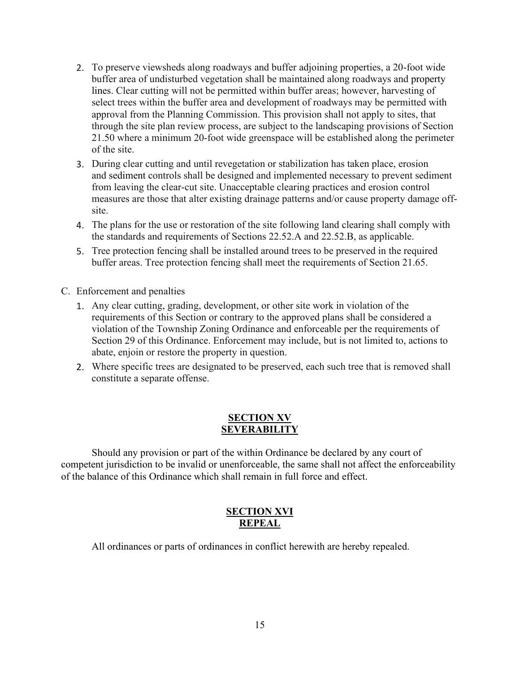- 2. To preserve viewsheds along roadways and buffer adjoining properties, a 20-foot wide buffer area of undisturbed vegetation shall be maintained along roadways and [property](http://online.encodeplus.com/regs/oshtemo-mi/doc-view.aspx?pn=0&ajax=0&secid=1918)  [lines.](http://online.encodeplus.com/regs/oshtemo-mi/doc-view.aspx?pn=0&ajax=0&secid=1918) Clear cutting will not be permitted within buffer areas; however, harvesting of select trees within the buffer area and development of roadways may be permitted with approval from the Planning Commission. This provision shall not apply to sites, that through the site plan review process, are subject to the landscaping provisions of Section 21.50 where a minimum 20-foot wide greenspace will be established along the perimeter of the site.
- 3. During clear cutting and until revegetation or stabilization has taken place, erosion and [sediment](http://online.encodeplus.com/regs/oshtemo-mi/doc-view.aspx?pn=0&ajax=0&secid=1921) controls shall be designed and implemented necessary to prevent sediment from leaving the clear-cut site. Unacceptable clearing practices and erosion control measures are those that alter existing drainage patterns and/or cause property damage offsite.
- 4. The plans for the use or restoration of the site following land clearing shall comply with the standards and requirements of Sections 22.52.A and 22.52.B, as applicable.
- 5. Tree protection fencing shall be installed around trees to be preserved in the required buffer areas. Tree protection fencing shall meet the requirements of Section 21.65.
- C. Enforcement and penalties
	- 1. Any clear cutting, grading, development, or other site work in violation of the requirements of this Section or contrary to the approved plans shall be considered a violation of the Township Zoning Ordinance and enforceable per the requirements of Section 29 of this Ordinance. Enforcement may include, but is not limited to, actions to abate, enjoin or restore the property in question.
	- 2. Where specific trees are designated to be preserved, each such tree that is removed shall constitute a separate offense.

# **SECTION XV SEVERABILITY**

Should any provision or part of the within Ordinance be declared by any court of competent jurisdiction to be invalid or unenforceable, the same shall not affect the enforceability of the balance of this Ordinance which shall remain in full force and effect.

# **SECTION XVI REPEAL**

All ordinances or parts of ordinances in conflict herewith are hereby repealed.